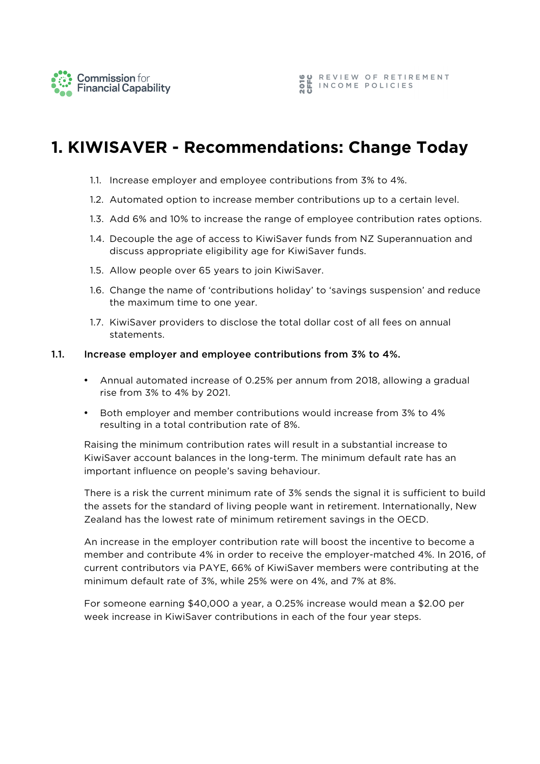

# **1. KIWISAVER - Recommendations: Change Today**

- 1.1. Increase employer and employee contributions from 3% to 4%.
- 1.2. Automated option to increase member contributions up to a certain level.
- 1.3. Add 6% and 10% to increase the range of employee contribution rates options.
- 1.4. Decouple the age of access to KiwiSaver funds from NZ Superannuation and discuss appropriate eligibility age for KiwiSaver funds.
- 1.5. Allow people over 65 years to join KiwiSaver.
- 1.6. Change the name of 'contributions holiday' to 'savings suspension' and reduce the maximum time to one year.
- 1.7. KiwiSaver providers to disclose the total dollar cost of all fees on annual statements.

#### 1.1. Increase employer and employee contributions from 3% to 4%.

- Annual automated increase of 0.25% per annum from 2018, allowing a gradual rise from 3% to 4% by 2021.
- Both employer and member contributions would increase from 3% to 4% resulting in a total contribution rate of 8%.

Raising the minimum contribution rates will result in a substantial increase to KiwiSaver account balances in the long-term. The minimum default rate has an important influence on people's saving behaviour.

There is a risk the current minimum rate of 3% sends the signal it is sufficient to build the assets for the standard of living people want in retirement. Internationally, New Zealand has the lowest rate of minimum retirement savings in the OECD.

An increase in the employer contribution rate will boost the incentive to become a member and contribute 4% in order to receive the employer-matched 4%. In 2016, of current contributors via PAYE, 66% of KiwiSaver members were contributing at the minimum default rate of 3%, while 25% were on 4%, and 7% at 8%.

For someone earning \$40,000 a year, a 0.25% increase would mean a \$2.00 per week increase in KiwiSaver contributions in each of the four year steps.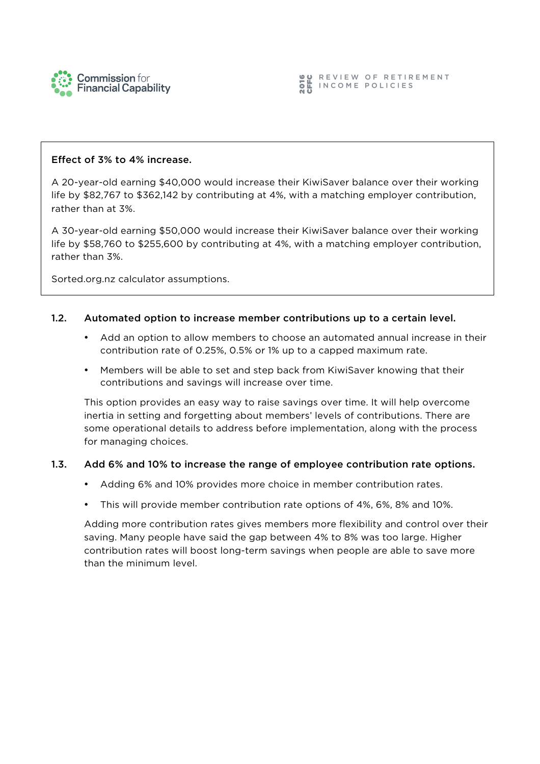

#### Effect of 3% to 4% increase.

A 20-year-old earning \$40,000 would increase their KiwiSaver balance over their working life by \$82,767 to \$362,142 by contributing at 4%, with a matching employer contribution, rather than at 3%.

A 30-year-old earning \$50,000 would increase their KiwiSaver balance over their working life by \$58,760 to \$255,600 by contributing at 4%, with a matching employer contribution, rather than 3%.

Sorted.org.nz calculator assumptions.

#### 1.2. Automated option to increase member contributions up to a certain level.

- Add an option to allow members to choose an automated annual increase in their contribution rate of 0.25%, 0.5% or 1% up to a capped maximum rate.
- Members will be able to set and step back from KiwiSaver knowing that their contributions and savings will increase over time.

This option provides an easy way to raise savings over time. It will help overcome inertia in setting and forgetting about members' levels of contributions. There are some operational details to address before implementation, along with the process for managing choices.

#### 1.3. Add 6% and 10% to increase the range of employee contribution rate options.

- Adding 6% and 10% provides more choice in member contribution rates.
- This will provide member contribution rate options of 4%, 6%, 8% and 10%.

Adding more contribution rates gives members more flexibility and control over their saving. Many people have said the gap between 4% to 8% was too large. Higher contribution rates will boost long-term savings when people are able to save more than the minimum level.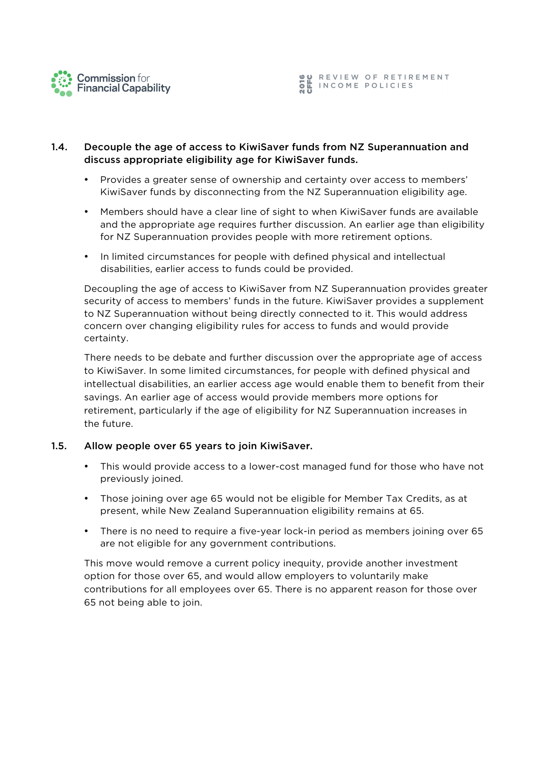

# 1.4. Decouple the age of access to KiwiSaver funds from NZ Superannuation and discuss appropriate eligibility age for KiwiSaver funds.

- Provides a greater sense of ownership and certainty over access to members' KiwiSaver funds by disconnecting from the NZ Superannuation eligibility age.
- Members should have a clear line of sight to when KiwiSaver funds are available and the appropriate age requires further discussion. An earlier age than eligibility for NZ Superannuation provides people with more retirement options.
- In limited circumstances for people with defined physical and intellectual disabilities, earlier access to funds could be provided.

Decoupling the age of access to KiwiSaver from NZ Superannuation provides greater security of access to members' funds in the future. KiwiSaver provides a supplement to NZ Superannuation without being directly connected to it. This would address concern over changing eligibility rules for access to funds and would provide certainty.

There needs to be debate and further discussion over the appropriate age of access to KiwiSaver. In some limited circumstances, for people with defined physical and intellectual disabilities, an earlier access age would enable them to benefit from their savings. An earlier age of access would provide members more options for retirement, particularly if the age of eligibility for NZ Superannuation increases in the future.

#### 1.5. Allow people over 65 years to join KiwiSaver.

- This would provide access to a lower-cost managed fund for those who have not previously joined.
- Those joining over age 65 would not be eligible for Member Tax Credits, as at present, while New Zealand Superannuation eligibility remains at 65.
- There is no need to require a five-year lock-in period as members joining over 65 are not eligible for any government contributions.

This move would remove a current policy inequity, provide another investment option for those over 65, and would allow employers to voluntarily make contributions for all employees over 65. There is no apparent reason for those over 65 not being able to join.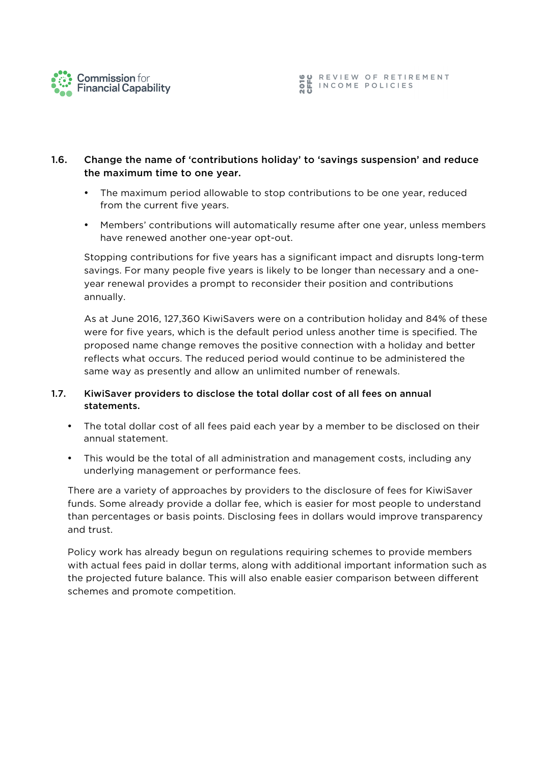

**OU REVIEW OF RETIREMENT<br>OL INCOME POLICIES**<br>NU

# 1.6. Change the name of 'contributions holiday' to 'savings suspension' and reduce the maximum time to one year.

- The maximum period allowable to stop contributions to be one year, reduced from the current five years.
- Members' contributions will automatically resume after one year, unless members have renewed another one-year opt-out.

Stopping contributions for five years has a significant impact and disrupts long-term savings. For many people five years is likely to be longer than necessary and a oneyear renewal provides a prompt to reconsider their position and contributions annually.

As at June 2016, 127,360 KiwiSavers were on a contribution holiday and 84% of these were for five years, which is the default period unless another time is specified. The proposed name change removes the positive connection with a holiday and better reflects what occurs. The reduced period would continue to be administered the same way as presently and allow an unlimited number of renewals.

# 1.7. KiwiSaver providers to disclose the total dollar cost of all fees on annual statements.

- The total dollar cost of all fees paid each year by a member to be disclosed on their annual statement.
- This would be the total of all administration and management costs, including any underlying management or performance fees.

There are a variety of approaches by providers to the disclosure of fees for KiwiSaver funds. Some already provide a dollar fee, which is easier for most people to understand than percentages or basis points. Disclosing fees in dollars would improve transparency and trust.

Policy work has already begun on regulations requiring schemes to provide members with actual fees paid in dollar terms, along with additional important information such as the projected future balance. This will also enable easier comparison between different schemes and promote competition.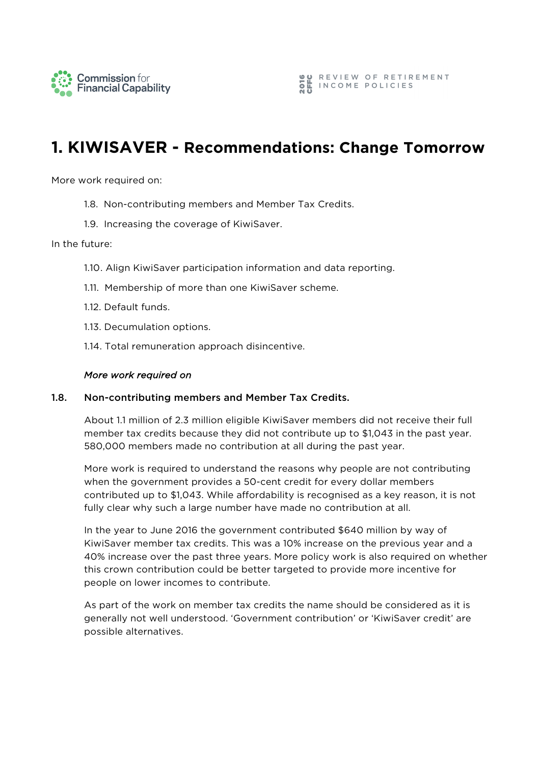

# **1. KIWISAVER - Recommendations: Change Tomorrow**

More work required on:

- 1.8. Non-contributing members and Member Tax Credits.
- 1.9. Increasing the coverage of KiwiSaver.

#### In the future:

- 1.10. Align KiwiSaver participation information and data reporting.
- 1.11. Membership of more than one KiwiSaver scheme.
- 1.12. Default funds.
- 1.13. Decumulation options.
- 1.14. Total remuneration approach disincentive.

#### *More work required on*

#### 1.8. Non-contributing members and Member Tax Credits.

About 1.1 million of 2.3 million eligible KiwiSaver members did not receive their full member tax credits because they did not contribute up to \$1,043 in the past year. 580,000 members made no contribution at all during the past year.

More work is required to understand the reasons why people are not contributing when the government provides a 50-cent credit for every dollar members contributed up to \$1,043. While affordability is recognised as a key reason, it is not fully clear why such a large number have made no contribution at all.

In the year to June 2016 the government contributed \$640 million by way of KiwiSaver member tax credits. This was a 10% increase on the previous year and a 40% increase over the past three years. More policy work is also required on whether this crown contribution could be better targeted to provide more incentive for people on lower incomes to contribute.

As part of the work on member tax credits the name should be considered as it is generally not well understood. 'Government contribution' or 'KiwiSaver credit' are possible alternatives.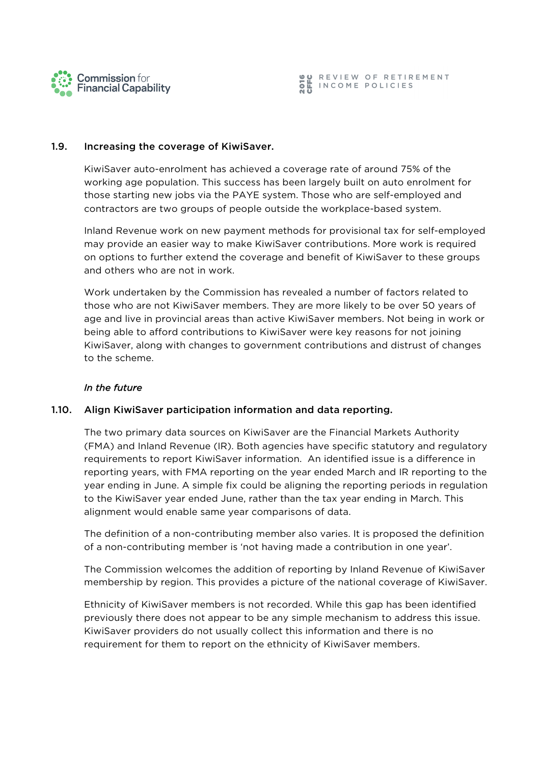



#### 1.9. Increasing the coverage of KiwiSaver.

KiwiSaver auto-enrolment has achieved a coverage rate of around 75% of the working age population. This success has been largely built on auto enrolment for those starting new jobs via the PAYE system. Those who are self-employed and contractors are two groups of people outside the workplace-based system.

Inland Revenue work on new payment methods for provisional tax for self-employed may provide an easier way to make KiwiSaver contributions. More work is required on options to further extend the coverage and benefit of KiwiSaver to these groups and others who are not in work.

Work undertaken by the Commission has revealed a number of factors related to those who are not KiwiSaver members. They are more likely to be over 50 years of age and live in provincial areas than active KiwiSaver members. Not being in work or being able to afford contributions to KiwiSaver were key reasons for not joining KiwiSaver, along with changes to government contributions and distrust of changes to the scheme.

## *In the future*

#### 1.10. Align KiwiSaver participation information and data reporting.

The two primary data sources on KiwiSaver are the Financial Markets Authority (FMA) and Inland Revenue (IR). Both agencies have specific statutory and regulatory requirements to report KiwiSaver information. An identified issue is a difference in reporting years, with FMA reporting on the year ended March and IR reporting to the year ending in June. A simple fix could be aligning the reporting periods in regulation to the KiwiSaver year ended June, rather than the tax year ending in March. This alignment would enable same year comparisons of data.

The definition of a non-contributing member also varies. It is proposed the definition of a non-contributing member is 'not having made a contribution in one year'.

The Commission welcomes the addition of reporting by Inland Revenue of KiwiSaver membership by region. This provides a picture of the national coverage of KiwiSaver.

Ethnicity of KiwiSaver members is not recorded. While this gap has been identified previously there does not appear to be any simple mechanism to address this issue. KiwiSaver providers do not usually collect this information and there is no requirement for them to report on the ethnicity of KiwiSaver members.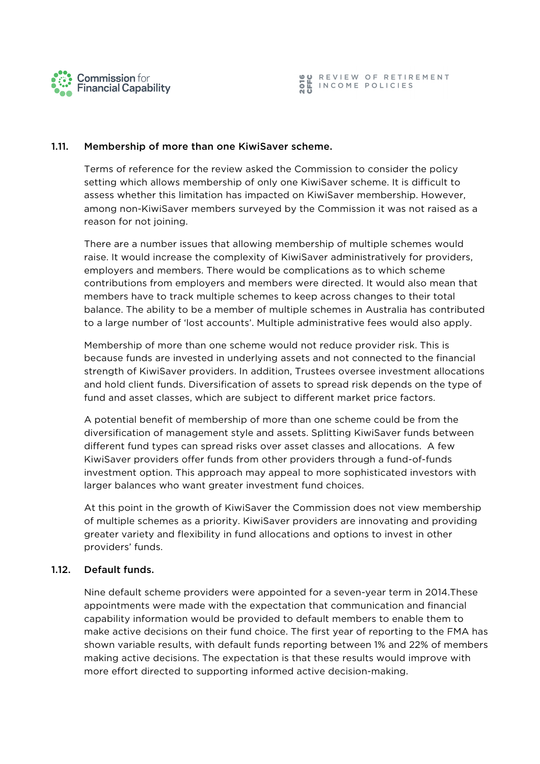

#### 1.11. Membership of more than one KiwiSaver scheme.

Terms of reference for the review asked the Commission to consider the policy setting which allows membership of only one KiwiSaver scheme. It is difficult to assess whether this limitation has impacted on KiwiSaver membership. However, among non-KiwiSaver members surveyed by the Commission it was not raised as a reason for not joining.

There are a number issues that allowing membership of multiple schemes would raise. It would increase the complexity of KiwiSaver administratively for providers, employers and members. There would be complications as to which scheme contributions from employers and members were directed. It would also mean that members have to track multiple schemes to keep across changes to their total balance. The ability to be a member of multiple schemes in Australia has contributed to a large number of 'lost accounts'. Multiple administrative fees would also apply.

Membership of more than one scheme would not reduce provider risk. This is because funds are invested in underlying assets and not connected to the financial strength of KiwiSaver providers. In addition, Trustees oversee investment allocations and hold client funds. Diversification of assets to spread risk depends on the type of fund and asset classes, which are subject to different market price factors.

A potential benefit of membership of more than one scheme could be from the diversification of management style and assets. Splitting KiwiSaver funds between different fund types can spread risks over asset classes and allocations. A few KiwiSaver providers offer funds from other providers through a fund-of-funds investment option. This approach may appeal to more sophisticated investors with larger balances who want greater investment fund choices.

At this point in the growth of KiwiSaver the Commission does not view membership of multiple schemes as a priority. KiwiSaver providers are innovating and providing greater variety and flexibility in fund allocations and options to invest in other providers' funds.

# 1.12. Default funds.

Nine default scheme providers were appointed for a seven-year term in 2014.These appointments were made with the expectation that communication and financial capability information would be provided to default members to enable them to make active decisions on their fund choice. The first year of reporting to the FMA has shown variable results, with default funds reporting between 1% and 22% of members making active decisions. The expectation is that these results would improve with more effort directed to supporting informed active decision-making.